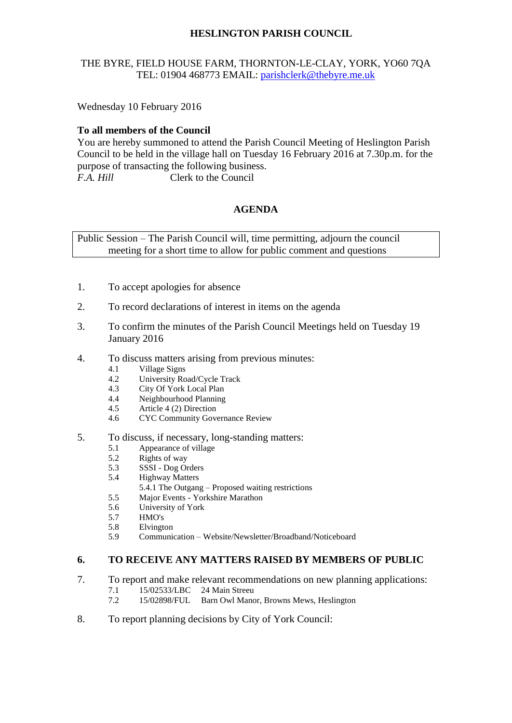# **HESLINGTON PARISH COUNCIL**

## THE BYRE, FIELD HOUSE FARM, THORNTON-LE-CLAY, YORK, YO60 7QA TEL: 01904 468773 EMAIL: [parishclerk@thebyre.me.uk](mailto:parishclerk@thebyre.me.uk)

Wednesday 10 February 2016

### **To all members of the Council**

You are hereby summoned to attend the Parish Council Meeting of Heslington Parish Council to be held in the village hall on Tuesday 16 February 2016 at 7.30p.m. for the purpose of transacting the following business. *F.A. Hill* Clerk to the Council

### **AGENDA**

Public Session – The Parish Council will, time permitting, adjourn the council meeting for a short time to allow for public comment and questions

- 1. To accept apologies for absence
- 2. To record declarations of interest in items on the agenda
- 3. To confirm the minutes of the Parish Council Meetings held on Tuesday 19 January 2016
- 4. To discuss matters arising from previous minutes:
	- 4.1 Village Signs
	- 4.2 University Road/Cycle Track
	- 4.3 City Of York Local Plan<br>4.4 Neighbourhood Planning
	- 4.4 Neighbourhood Planning<br>4.5 Article 4 (2) Direction
	- Article 4 (2) Direction
	- 4.6 CYC Community Governance Review
- 5. To discuss, if necessary, long-standing matters:
	- 5.1 Appearance of village
	- 5.2 Rights of way
	- 5.3 SSSI Dog Orders
	- 5.4 Highway Matters
		- 5.4.1 The Outgang Proposed waiting restrictions
	- 5.5 Major Events Yorkshire Marathon
	- 5.6 University of York
	- 5.7 HMO's
	- 5.8 Elvington
	- 5.9 Communication Website/Newsletter/Broadband/Noticeboard

#### **6. TO RECEIVE ANY MATTERS RAISED BY MEMBERS OF PUBLIC**

- 7. To report and make relevant recommendations on new planning applications:
	- 7.1 15/02533/LBC 24 Main Streeu
	- 7.2 15/02898/FUL Barn Owl Manor, Browns Mews, Heslington
- 8. To report planning decisions by City of York Council: